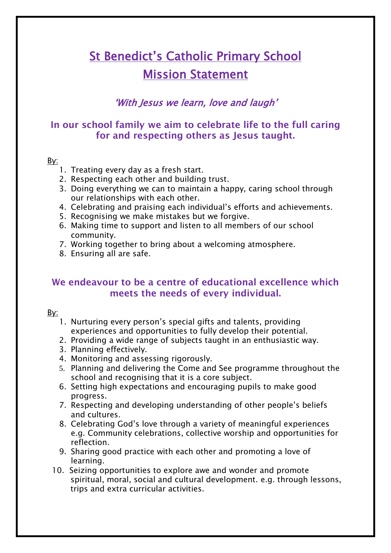# St Benedict's Catholic Primary School Mission Statement

## 'With Jesus we learn, love and laugh'

## In our school family we aim to celebrate life to the full caring for and respecting others as Jesus taught.

#### By:

- 1. Treating every day as a fresh start.
- 2. Respecting each other and building trust.
- 3. Doing everything we can to maintain a happy, caring school through our relationships with each other.
- 4. Celebrating and praising each individual's efforts and achievements.
- 5. Recognising we make mistakes but we forgive.
- 6. Making time to support and listen to all members of our school community.
- 7. Working together to bring about a welcoming atmosphere.
- 8. Ensuring all are safe.

### We endeavour to be a centre of educational excellence which meets the needs of every individual.

#### By:

- 1. Nurturing every person's special gifts and talents, providing experiences and opportunities to fully develop their potential.
- 2. Providing a wide range of subjects taught in an enthusiastic way.
- 3. Planning effectively.
- 4. Monitoring and assessing rigorously.
- 5. Planning and delivering the Come and See programme throughout the school and recognising that it is a core subject.
- 6. Setting high expectations and encouraging pupils to make good progress.
- 7. Respecting and developing understanding of other people's beliefs and cultures.
- 8. Celebrating God's love through a variety of meaningful experiences e.g. Community celebrations, collective worship and opportunities for reflection.
- 9. Sharing good practice with each other and promoting a love of learning.
- 10. Seizing opportunities to explore awe and wonder and promote spiritual, moral, social and cultural development. e.g. through lessons, trips and extra curricular activities.